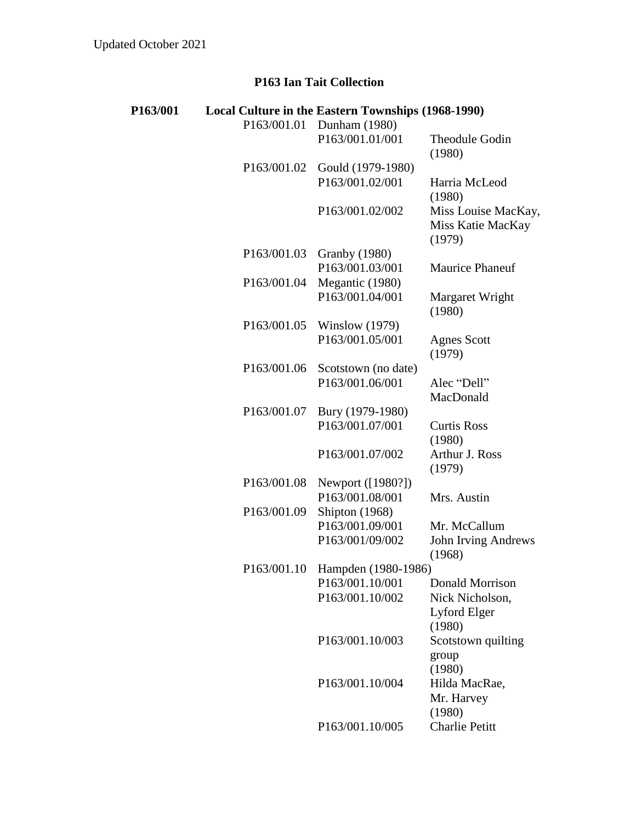## **P163 Ian Tait Collection**

| P163/001 |             | Local Culture in the Eastern Townships (1968-1990) |                                                    |
|----------|-------------|----------------------------------------------------|----------------------------------------------------|
|          | P163/001.01 | Dunham (1980)                                      |                                                    |
|          |             | P163/001.01/001                                    | <b>Theodule Godin</b><br>(1980)                    |
|          | P163/001.02 | Gould (1979-1980)                                  |                                                    |
|          |             | P163/001.02/001                                    | Harria McLeod<br>(1980)                            |
|          |             | P163/001.02/002                                    | Miss Louise MacKay,<br>Miss Katie MacKay<br>(1979) |
|          | P163/001.03 | <b>Granby (1980)</b>                               |                                                    |
|          |             | P163/001.03/001                                    | <b>Maurice Phaneuf</b>                             |
|          | P163/001.04 | Megantic (1980)                                    |                                                    |
|          |             | P163/001.04/001                                    | Margaret Wright<br>(1980)                          |
|          | P163/001.05 | Winslow $(1979)$                                   |                                                    |
|          |             | P163/001.05/001                                    | <b>Agnes Scott</b><br>(1979)                       |
|          | P163/001.06 | Scotstown (no date)                                |                                                    |
|          |             | P163/001.06/001                                    | Alec "Dell"                                        |
|          |             |                                                    | MacDonald                                          |
|          | P163/001.07 | Bury (1979-1980)                                   |                                                    |
|          |             | P163/001.07/001                                    | <b>Curtis Ross</b><br>(1980)                       |
|          |             | P163/001.07/002                                    | Arthur J. Ross<br>(1979)                           |
|          | P163/001.08 | Newport ([1980?])                                  |                                                    |
|          |             | P163/001.08/001                                    | Mrs. Austin                                        |
|          | P163/001.09 | Shipton (1968)                                     |                                                    |
|          |             | P163/001.09/001                                    | Mr. McCallum                                       |
|          |             | P163/001/09/002                                    | <b>John Irving Andrews</b><br>(1968)               |
|          |             | P163/001.10 Hampden (1980-1986)                    |                                                    |
|          |             | P163/001.10/001                                    | Donald Morrison                                    |
|          |             | P163/001.10/002                                    | Nick Nicholson,                                    |
|          |             |                                                    | Lyford Elger<br>(1980)                             |
|          |             | P163/001.10/003                                    | Scotstown quilting                                 |
|          |             |                                                    | group<br>(1980)                                    |
|          |             | P163/001.10/004                                    | Hilda MacRae,<br>Mr. Harvey                        |
|          |             | P163/001.10/005                                    | (1980)<br><b>Charlie Petitt</b>                    |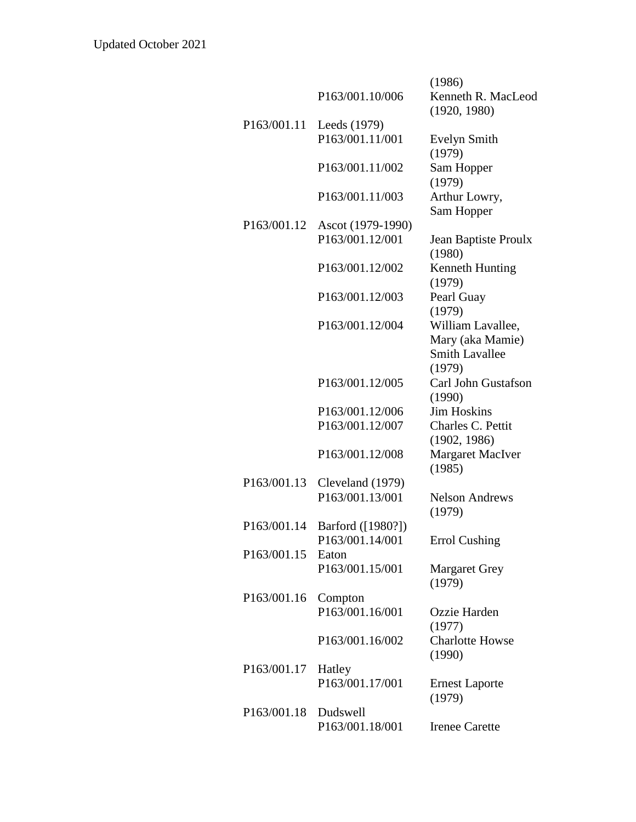|                          |                   | (1986)                                                                   |
|--------------------------|-------------------|--------------------------------------------------------------------------|
|                          | P163/001.10/006   | Kenneth R. MacLeod                                                       |
|                          |                   | (1920, 1980)                                                             |
| P163/001.11              | Leeds (1979)      |                                                                          |
|                          | P163/001.11/001   | <b>Evelyn Smith</b><br>(1979)                                            |
|                          | P163/001.11/002   | Sam Hopper                                                               |
|                          |                   | (1979)                                                                   |
|                          | P163/001.11/003   | Arthur Lowry,<br>Sam Hopper                                              |
| P <sub>163</sub> /001.12 | Ascot (1979-1990) |                                                                          |
|                          | P163/001.12/001   | Jean Baptiste Proulx<br>(1980)                                           |
|                          | P163/001.12/002   | Kenneth Hunting<br>(1979)                                                |
|                          | P163/001.12/003   | Pearl Guay<br>(1979)                                                     |
|                          | P163/001.12/004   | William Lavallee,<br>Mary (aka Mamie)<br><b>Smith Lavallee</b><br>(1979) |
|                          | P163/001.12/005   | Carl John Gustafson<br>(1990)                                            |
|                          | P163/001.12/006   | <b>Jim Hoskins</b>                                                       |
|                          | P163/001.12/007   | Charles C. Pettit                                                        |
|                          |                   | (1902, 1986)                                                             |
|                          | P163/001.12/008   | <b>Margaret MacIver</b><br>(1985)                                        |
| P163/001.13              | Cleveland (1979)  |                                                                          |
|                          | P163/001.13/001   | <b>Nelson Andrews</b><br>(1979)                                          |
| P163/001.14              | Barford ([1980?]) |                                                                          |
|                          | P163/001.14/001   | <b>Errol Cushing</b>                                                     |
| P163/001.15              | Eaton             |                                                                          |
|                          | P163/001.15/001   | <b>Margaret Grey</b><br>(1979)                                           |
| P163/001.16              | Compton           |                                                                          |
|                          | P163/001.16/001   | Ozzie Harden<br>(1977)                                                   |
|                          | P163/001.16/002   | <b>Charlotte Howse</b><br>(1990)                                         |
| P163/001.17              | Hatley            |                                                                          |
|                          | P163/001.17/001   | <b>Ernest Laporte</b><br>(1979)                                          |
| P163/001.18              | Dudswell          |                                                                          |
|                          | P163/001.18/001   | <b>Irenee Carette</b>                                                    |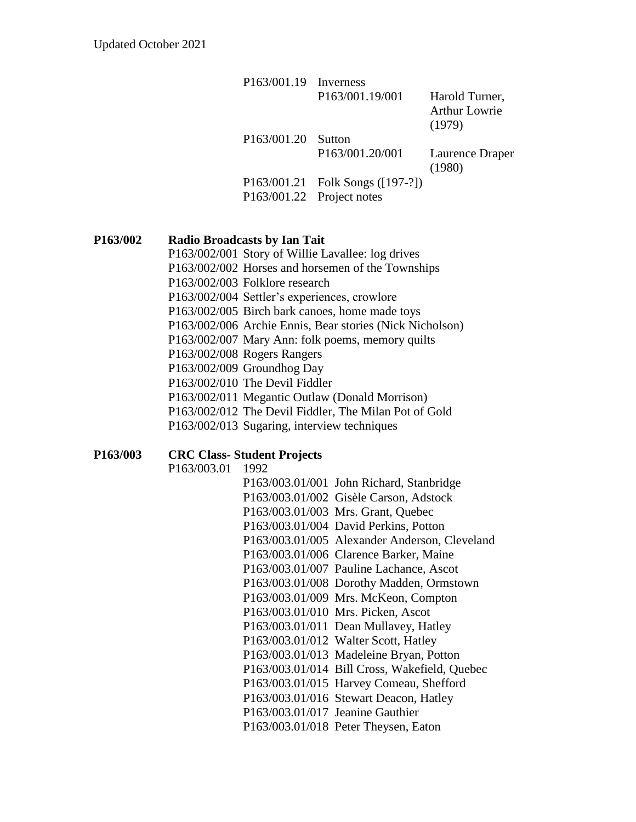| $P163/001.19$ Inverness |                                  |                      |
|-------------------------|----------------------------------|----------------------|
|                         | P163/001.19/001                  | Harold Turner,       |
|                         |                                  | <b>Arthur Lowrie</b> |
|                         |                                  | (1979)               |
| P163/001.20 Sutton      |                                  |                      |
|                         | P163/001.20/001                  | Laurence Draper      |
|                         |                                  | (1980)               |
|                         | P163/001.21 Folk Songs ([197-?]) |                      |
|                         | P163/001.22 Project notes        |                      |

## **P163/002 Radio Broadcasts by Ian Tait**

- P163/002/001 Story of Willie Lavallee: log drives
- P163/002/002 Horses and horsemen of the Townships
- P163/002/003 Folklore research
- P163/002/004 Settler's experiences, crowlore
- P163/002/005 Birch bark canoes, home made toys
- P163/002/006 Archie Ennis, Bear stories (Nick Nicholson)
- P163/002/007 Mary Ann: folk poems, memory quilts
- P163/002/008 Rogers Rangers
- P163/002/009 Groundhog Day
- P163/002/010 The Devil Fiddler
- P163/002/011 Megantic Outlaw (Donald Morrison)
- P163/002/012 The Devil Fiddler, The Milan Pot of Gold
- P163/002/013 Sugaring, interview techniques

## **P163/003 CRC Class- Student Projects**

P163/003.01 1992

|                                  | P163/003.01/001 John Richard, Stanbridge      |
|----------------------------------|-----------------------------------------------|
|                                  | P163/003.01/002 Gisèle Carson, Adstock        |
|                                  | P163/003.01/003 Mrs. Grant, Quebec            |
|                                  | P163/003.01/004 David Perkins, Potton         |
|                                  | P163/003.01/005 Alexander Anderson, Cleveland |
|                                  | P163/003.01/006 Clarence Barker, Maine        |
|                                  | P163/003.01/007 Pauline Lachance, Ascot       |
|                                  | P163/003.01/008 Dorothy Madden, Ormstown      |
|                                  | P163/003.01/009 Mrs. McKeon, Compton          |
|                                  | P163/003.01/010 Mrs. Picken, Ascot            |
|                                  | P163/003.01/011 Dean Mullavey, Hatley         |
|                                  | P163/003.01/012 Walter Scott, Hatley          |
|                                  | P163/003.01/013 Madeleine Bryan, Potton       |
|                                  | P163/003.01/014 Bill Cross, Wakefield, Quebec |
|                                  | P163/003.01/015 Harvey Comeau, Shefford       |
|                                  | P163/003.01/016 Stewart Deacon, Hatley        |
| P163/003.01/017 Jeanine Gauthier |                                               |
|                                  | P163/003.01/018 Peter Theysen, Eaton          |
|                                  |                                               |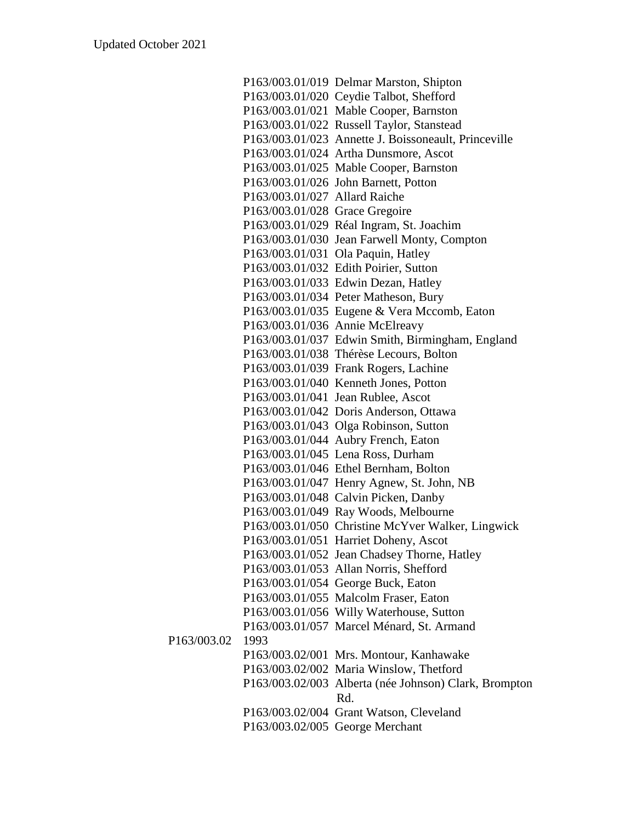|                     | P163/003.01/019 Delmar Marston, Shipton               |
|---------------------|-------------------------------------------------------|
|                     | P163/003.01/020 Ceydie Talbot, Shefford               |
|                     | P163/003.01/021 Mable Cooper, Barnston                |
|                     | P163/003.01/022 Russell Taylor, Stanstead             |
|                     | P163/003.01/023 Annette J. Boissoneault, Princeville  |
|                     | P163/003.01/024 Artha Dunsmore, Ascot                 |
|                     | P163/003.01/025 Mable Cooper, Barnston                |
|                     | P163/003.01/026 John Barnett, Potton                  |
|                     | P163/003.01/027 Allard Raiche                         |
|                     | P163/003.01/028 Grace Gregoire                        |
|                     | P163/003.01/029 Réal Ingram, St. Joachim              |
|                     | P163/003.01/030 Jean Farwell Monty, Compton           |
|                     | P163/003.01/031 Ola Paquin, Hatley                    |
|                     | P163/003.01/032 Edith Poirier, Sutton                 |
|                     | P163/003.01/033 Edwin Dezan, Hatley                   |
|                     | P163/003.01/034 Peter Matheson, Bury                  |
|                     | P163/003.01/035 Eugene & Vera Mccomb, Eaton           |
|                     | P163/003.01/036 Annie McElreavy                       |
|                     | P163/003.01/037 Edwin Smith, Birmingham, England      |
|                     | P163/003.01/038 Thérèse Lecours, Bolton               |
|                     | P163/003.01/039 Frank Rogers, Lachine                 |
|                     | P163/003.01/040 Kenneth Jones, Potton                 |
|                     | P163/003.01/041 Jean Rublee, Ascot                    |
|                     | P163/003.01/042 Doris Anderson, Ottawa                |
|                     | P163/003.01/043 Olga Robinson, Sutton                 |
|                     | P163/003.01/044 Aubry French, Eaton                   |
|                     | P163/003.01/045 Lena Ross, Durham                     |
|                     | P163/003.01/046 Ethel Bernham, Bolton                 |
|                     | P163/003.01/047 Henry Agnew, St. John, NB             |
|                     | P163/003.01/048 Calvin Picken, Danby                  |
|                     | P163/003.01/049 Ray Woods, Melbourne                  |
|                     | P163/003.01/050 Christine McYver Walker, Lingwick     |
|                     | P163/003.01/051 Harriet Doheny, Ascot                 |
|                     | P163/003.01/052 Jean Chadsey Thorne, Hatley           |
|                     | P163/003.01/053 Allan Norris, Shefford                |
|                     | P163/003.01/054 George Buck, Eaton                    |
|                     | P163/003.01/055 Malcolm Fraser, Eaton                 |
|                     | P163/003.01/056 Willy Waterhouse, Sutton              |
|                     | P163/003.01/057 Marcel Ménard, St. Armand             |
| P163/003.02<br>1993 |                                                       |
|                     | P163/003.02/001 Mrs. Montour, Kanhawake               |
|                     | P163/003.02/002 Maria Winslow, Thetford               |
|                     | P163/003.02/003 Alberta (née Johnson) Clark, Brompton |
|                     | Rd.                                                   |
|                     | P163/003.02/004 Grant Watson, Cleveland               |
|                     | P163/003.02/005 George Merchant                       |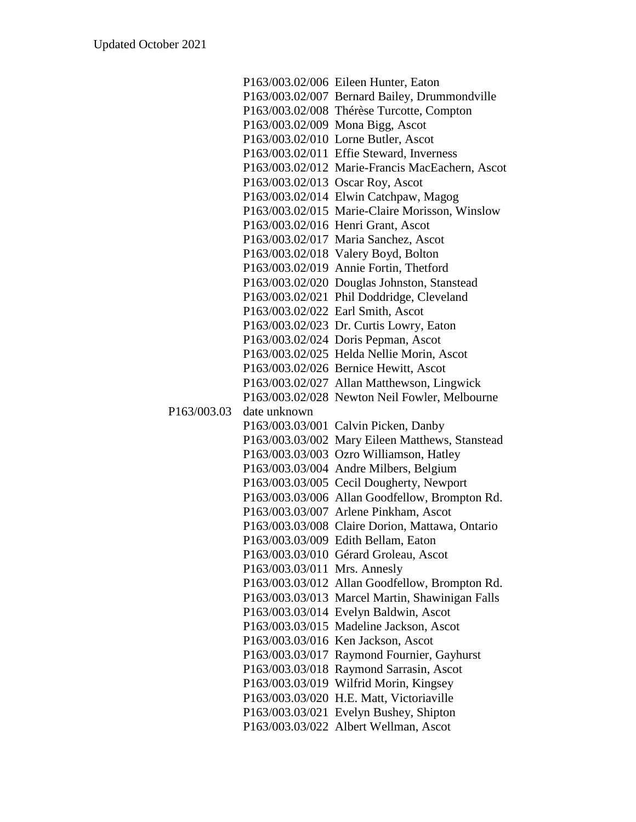|             |                              | P163/003.02/006 Eileen Hunter, Eaton            |
|-------------|------------------------------|-------------------------------------------------|
|             |                              | P163/003.02/007 Bernard Bailey, Drummondville   |
|             |                              | P163/003.02/008 Thérèse Turcotte, Compton       |
|             |                              | P163/003.02/009 Mona Bigg, Ascot                |
|             |                              | P163/003.02/010 Lorne Butler, Ascot             |
|             |                              | P163/003.02/011 Effie Steward, Inverness        |
|             |                              | P163/003.02/012 Marie-Francis MacEachern, Ascot |
|             |                              | P163/003.02/013 Oscar Roy, Ascot                |
|             |                              | P163/003.02/014 Elwin Catchpaw, Magog           |
|             |                              | P163/003.02/015 Marie-Claire Morisson, Winslow  |
|             |                              | P163/003.02/016 Henri Grant, Ascot              |
|             |                              | P163/003.02/017 Maria Sanchez, Ascot            |
|             |                              | P163/003.02/018 Valery Boyd, Bolton             |
|             |                              | P163/003.02/019 Annie Fortin, Thetford          |
|             |                              | P163/003.02/020 Douglas Johnston, Stanstead     |
|             |                              | P163/003.02/021 Phil Doddridge, Cleveland       |
|             |                              | P163/003.02/022 Earl Smith, Ascot               |
|             |                              | P163/003.02/023 Dr. Curtis Lowry, Eaton         |
|             |                              | P163/003.02/024 Doris Pepman, Ascot             |
|             |                              | P163/003.02/025 Helda Nellie Morin, Ascot       |
|             |                              | P163/003.02/026 Bernice Hewitt, Ascot           |
|             |                              | P163/003.02/027 Allan Matthewson, Lingwick      |
|             |                              | P163/003.02/028 Newton Neil Fowler, Melbourne   |
| P163/003.03 | date unknown                 |                                                 |
|             |                              | P163/003.03/001 Calvin Picken, Danby            |
|             |                              | P163/003.03/002 Mary Eileen Matthews, Stanstead |
|             |                              | P163/003.03/003 Ozro Williamson, Hatley         |
|             |                              | P163/003.03/004 Andre Milbers, Belgium          |
|             |                              | P163/003.03/005 Cecil Dougherty, Newport        |
|             |                              | P163/003.03/006 Allan Goodfellow, Brompton Rd.  |
|             |                              | P163/003.03/007 Arlene Pinkham, Ascot           |
|             |                              | P163/003.03/008 Claire Dorion, Mattawa, Ontario |
|             |                              | P163/003.03/009 Edith Bellam, Eaton             |
|             |                              | P163/003.03/010 Gérard Groleau, Ascot           |
|             | P163/003.03/011 Mrs. Annesly |                                                 |
|             |                              | P163/003.03/012 Allan Goodfellow, Brompton Rd.  |
|             |                              | P163/003.03/013 Marcel Martin, Shawinigan Falls |
|             |                              | P163/003.03/014 Evelyn Baldwin, Ascot           |
|             |                              | P163/003.03/015 Madeline Jackson, Ascot         |
|             |                              | P163/003.03/016 Ken Jackson, Ascot              |
|             |                              | P163/003.03/017 Raymond Fournier, Gayhurst      |
|             |                              | P163/003.03/018 Raymond Sarrasin, Ascot         |
|             |                              | P163/003.03/019 Wilfrid Morin, Kingsey          |
|             |                              | P163/003.03/020 H.E. Matt, Victoriaville        |
|             |                              | P163/003.03/021 Evelyn Bushey, Shipton          |
|             |                              | P163/003.03/022 Albert Wellman, Ascot           |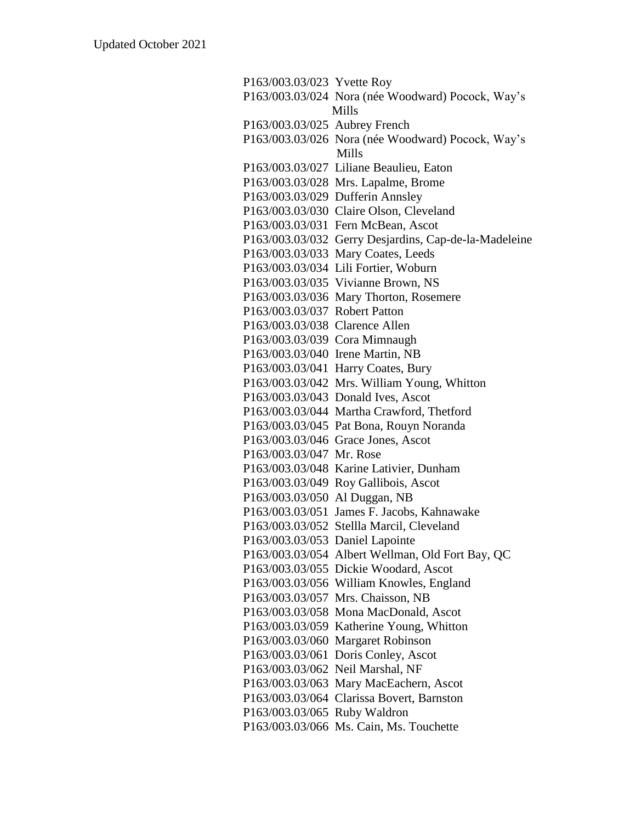P163/003.03/023 Yvette Roy P163/003.03/024 Nora (née Woodward) Pocock, Way's Mills P163/003.03/025 Aubrey French P163/003.03/026 Nora (née Woodward) Pocock, Way's Mills P163/003.03/027 Liliane Beaulieu, Eaton P163/003.03/028 Mrs. Lapalme, Brome P163/003.03/029 Dufferin Annsley P163/003.03/030 Claire Olson, Cleveland P163/003.03/031 Fern McBean, Ascot P163/003.03/032 Gerry Desjardins, Cap-de-la-Madeleine P163/003.03/033 Mary Coates, Leeds P163/003.03/034 Lili Fortier, Woburn P163/003.03/035 Vivianne Brown, NS P163/003.03/036 Mary Thorton, Rosemere P163/003.03/037 Robert Patton P163/003.03/038 Clarence Allen P163/003.03/039 Cora Mimnaugh P163/003.03/040 Irene Martin, NB P163/003.03/041 Harry Coates, Bury P163/003.03/042 Mrs. William Young, Whitton P163/003.03/043 Donald Ives, Ascot P163/003.03/044 Martha Crawford, Thetford P163/003.03/045 Pat Bona, Rouyn Noranda P163/003.03/046 Grace Jones, Ascot P163/003.03/047 Mr. Rose P163/003.03/048 Karine Lativier, Dunham P163/003.03/049 Roy Gallibois, Ascot P163/003.03/050 Al Duggan, NB P163/003.03/051 James F. Jacobs, Kahnawake P163/003.03/052 Stellla Marcil, Cleveland P163/003.03/053 Daniel Lapointe P163/003.03/054 Albert Wellman, Old Fort Bay, QC P163/003.03/055 Dickie Woodard, Ascot P163/003.03/056 William Knowles, England P163/003.03/057 Mrs. Chaisson, NB P163/003.03/058 Mona MacDonald, Ascot P163/003.03/059 Katherine Young, Whitton P163/003.03/060 Margaret Robinson P163/003.03/061 Doris Conley, Ascot P163/003.03/062 Neil Marshal, NF P163/003.03/063 Mary MacEachern, Ascot P163/003.03/064 Clarissa Bovert, Barnston P163/003.03/065 Ruby Waldron P163/003.03/066 Ms. Cain, Ms. Touchette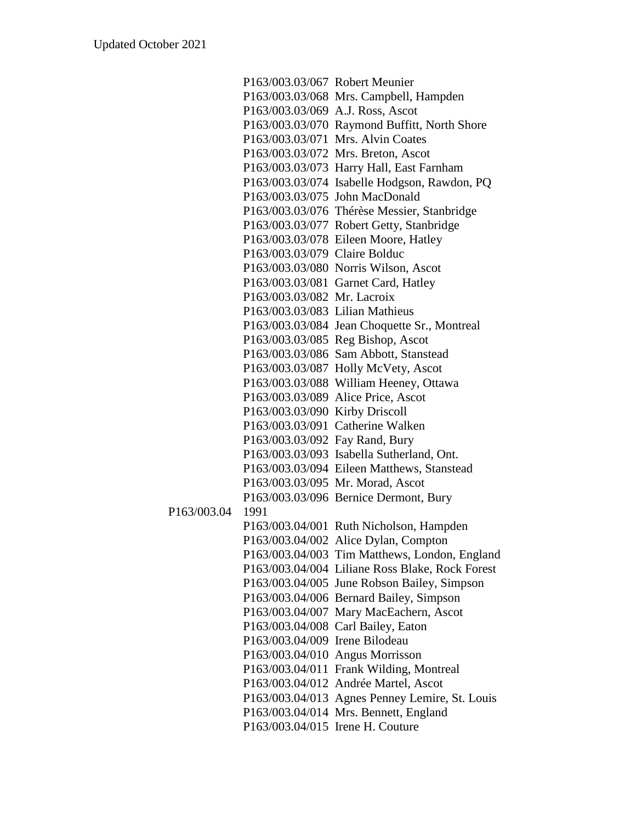|             | P163/003.03/067 Robert Meunier   |                                                 |
|-------------|----------------------------------|-------------------------------------------------|
|             |                                  | P163/003.03/068 Mrs. Campbell, Hampden          |
|             | P163/003.03/069 A.J. Ross, Ascot |                                                 |
|             |                                  | P163/003.03/070 Raymond Buffitt, North Shore    |
|             |                                  | P163/003.03/071 Mrs. Alvin Coates               |
|             |                                  | P163/003.03/072 Mrs. Breton, Ascot              |
|             |                                  | P163/003.03/073 Harry Hall, East Farnham        |
|             |                                  | P163/003.03/074 Isabelle Hodgson, Rawdon, PQ    |
|             |                                  | P163/003.03/075 John MacDonald                  |
|             |                                  | P163/003.03/076 Thérèse Messier, Stanbridge     |
|             |                                  | P163/003.03/077 Robert Getty, Stanbridge        |
|             |                                  | P163/003.03/078 Eileen Moore, Hatley            |
|             | P163/003.03/079 Claire Bolduc    |                                                 |
|             |                                  | P163/003.03/080 Norris Wilson, Ascot            |
|             |                                  | P163/003.03/081 Garnet Card, Hatley             |
|             | P163/003.03/082 Mr. Lacroix      |                                                 |
|             | P163/003.03/083 Lilian Mathieus  |                                                 |
|             |                                  | P163/003.03/084 Jean Choquette Sr., Montreal    |
|             |                                  | P163/003.03/085 Reg Bishop, Ascot               |
|             |                                  | P163/003.03/086 Sam Abbott, Stanstead           |
|             |                                  | P163/003.03/087 Holly McVety, Ascot             |
|             |                                  | P163/003.03/088 William Heeney, Ottawa          |
|             |                                  | P163/003.03/089 Alice Price, Ascot              |
|             | P163/003.03/090 Kirby Driscoll   |                                                 |
|             |                                  | P163/003.03/091 Catherine Walken                |
|             | P163/003.03/092 Fay Rand, Bury   |                                                 |
|             |                                  | P163/003.03/093 Isabella Sutherland, Ont.       |
|             |                                  | P163/003.03/094 Eileen Matthews, Stanstead      |
|             |                                  | P163/003.03/095 Mr. Morad, Ascot                |
|             |                                  | P163/003.03/096 Bernice Dermont, Bury           |
| P163/003.04 | 1991                             |                                                 |
|             |                                  | P163/003.04/001 Ruth Nicholson, Hampden         |
|             |                                  | P163/003.04/002 Alice Dylan, Compton            |
|             |                                  | P163/003.04/003 Tim Matthews, London, England   |
|             |                                  | P163/003.04/004 Liliane Ross Blake, Rock Forest |
|             |                                  | P163/003.04/005 June Robson Bailey, Simpson     |
|             |                                  | P163/003.04/006 Bernard Bailey, Simpson         |
|             |                                  | P163/003.04/007 Mary MacEachern, Ascot          |
|             |                                  | P163/003.04/008 Carl Bailey, Eaton              |
|             | P163/003.04/009 Irene Bilodeau   |                                                 |
|             |                                  | P163/003.04/010 Angus Morrisson                 |
|             |                                  | P163/003.04/011 Frank Wilding, Montreal         |
|             |                                  | P163/003.04/012 Andrée Martel, Ascot            |
|             |                                  | P163/003.04/013 Agnes Penney Lemire, St. Louis  |
|             |                                  | P163/003.04/014 Mrs. Bennett, England           |
|             | P163/003.04/015 Irene H. Couture |                                                 |
|             |                                  |                                                 |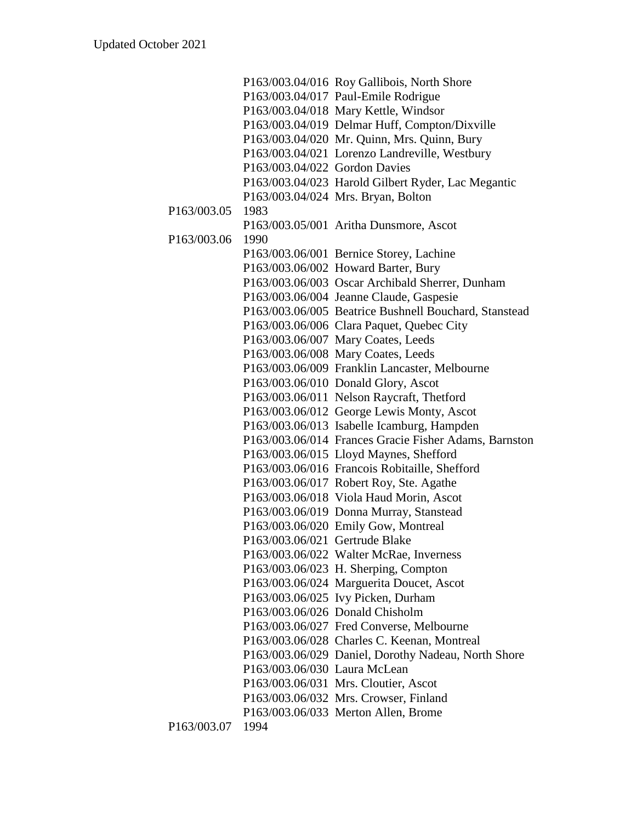|             |                                | P163/003.04/016 Roy Gallibois, North Shore            |
|-------------|--------------------------------|-------------------------------------------------------|
|             |                                | P163/003.04/017 Paul-Emile Rodrigue                   |
|             |                                | P163/003.04/018 Mary Kettle, Windsor                  |
|             |                                | P163/003.04/019 Delmar Huff, Compton/Dixville         |
|             |                                | P163/003.04/020 Mr. Quinn, Mrs. Quinn, Bury           |
|             |                                | P163/003.04/021 Lorenzo Landreville, Westbury         |
|             | P163/003.04/022 Gordon Davies  |                                                       |
|             |                                | P163/003.04/023 Harold Gilbert Ryder, Lac Megantic    |
|             |                                | P163/003.04/024 Mrs. Bryan, Bolton                    |
| P163/003.05 | 1983                           |                                                       |
|             |                                | P163/003.05/001 Aritha Dunsmore, Ascot                |
| P163/003.06 | 1990                           |                                                       |
|             |                                | P163/003.06/001 Bernice Storey, Lachine               |
|             |                                | P163/003.06/002 Howard Barter, Bury                   |
|             |                                | P163/003.06/003 Oscar Archibald Sherrer, Dunham       |
|             |                                | P163/003.06/004 Jeanne Claude, Gaspesie               |
|             |                                | P163/003.06/005 Beatrice Bushnell Bouchard, Stanstead |
|             |                                | P163/003.06/006 Clara Paquet, Quebec City             |
|             |                                | P163/003.06/007 Mary Coates, Leeds                    |
|             |                                | P163/003.06/008 Mary Coates, Leeds                    |
|             |                                | P163/003.06/009 Franklin Lancaster, Melbourne         |
|             |                                | P163/003.06/010 Donald Glory, Ascot                   |
|             |                                | P163/003.06/011 Nelson Raycraft, Thetford             |
|             |                                | P163/003.06/012 George Lewis Monty, Ascot             |
|             |                                | P163/003.06/013 Isabelle Icamburg, Hampden            |
|             |                                | P163/003.06/014 Frances Gracie Fisher Adams, Barnston |
|             |                                | P163/003.06/015 Lloyd Maynes, Shefford                |
|             |                                | P163/003.06/016 Francois Robitaille, Shefford         |
|             |                                | P163/003.06/017 Robert Roy, Ste. Agathe               |
|             |                                | P163/003.06/018 Viola Haud Morin, Ascot               |
|             |                                | P163/003.06/019 Donna Murray, Stanstead               |
|             |                                | P163/003.06/020 Emily Gow, Montreal                   |
|             | P163/003.06/021 Gertrude Blake |                                                       |
|             |                                | P163/003.06/022 Walter McRae, Inverness               |
|             |                                | P163/003.06/023 H. Sherping, Compton                  |
|             |                                | P163/003.06/024 Marguerita Doucet, Ascot              |
|             |                                | P163/003.06/025 Ivy Picken, Durham                    |
|             |                                | P163/003.06/026 Donald Chisholm                       |
|             |                                | P163/003.06/027 Fred Converse, Melbourne              |
|             |                                | P163/003.06/028 Charles C. Keenan, Montreal           |
|             |                                | P163/003.06/029 Daniel, Dorothy Nadeau, North Shore   |
|             | P163/003.06/030 Laura McLean   |                                                       |
|             |                                | P163/003.06/031 Mrs. Cloutier, Ascot                  |
|             |                                | P163/003.06/032 Mrs. Crowser, Finland                 |
|             |                                | P163/003.06/033 Merton Allen, Brome                   |
| P163/003.07 | 1994                           |                                                       |
|             |                                |                                                       |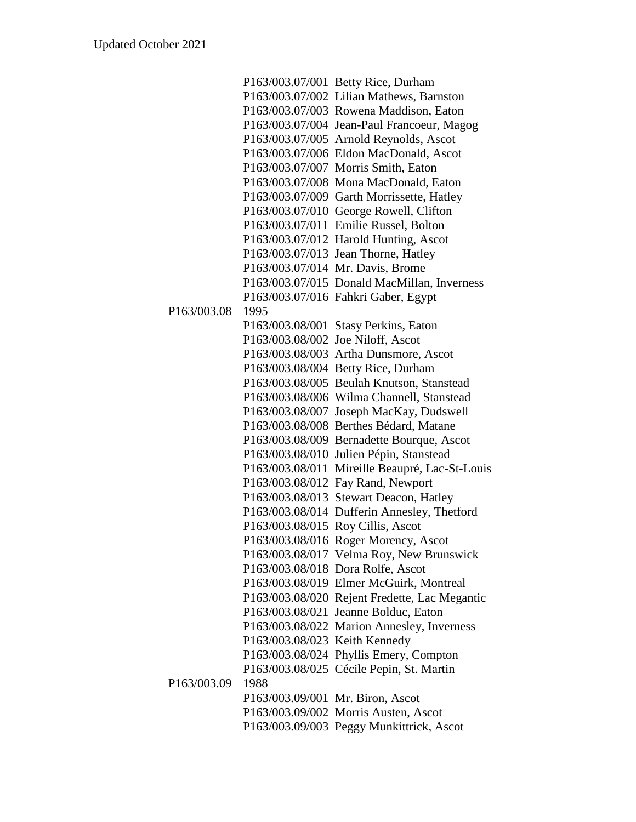|             |                                  | P163/003.07/001 Betty Rice, Durham             |
|-------------|----------------------------------|------------------------------------------------|
|             |                                  | P163/003.07/002 Lilian Mathews, Barnston       |
|             |                                  | P163/003.07/003 Rowena Maddison, Eaton         |
|             |                                  | P163/003.07/004 Jean-Paul Francoeur, Magog     |
|             |                                  | P163/003.07/005 Arnold Reynolds, Ascot         |
|             |                                  | P163/003.07/006 Eldon MacDonald, Ascot         |
|             |                                  | P163/003.07/007 Morris Smith, Eaton            |
|             |                                  | P163/003.07/008 Mona MacDonald, Eaton          |
|             |                                  | P163/003.07/009 Garth Morrissette, Hatley      |
|             |                                  | P163/003.07/010 George Rowell, Clifton         |
|             |                                  | P163/003.07/011 Emilie Russel, Bolton          |
|             |                                  | P163/003.07/012 Harold Hunting, Ascot          |
|             |                                  | P163/003.07/013 Jean Thorne, Hatley            |
|             |                                  | P163/003.07/014 Mr. Davis, Brome               |
|             |                                  | P163/003.07/015 Donald MacMillan, Inverness    |
|             |                                  | P163/003.07/016 Fahkri Gaber, Egypt            |
| P163/003.08 | 1995                             |                                                |
|             |                                  | P163/003.08/001 Stasy Perkins, Eaton           |
|             |                                  | P163/003.08/002 Joe Niloff, Ascot              |
|             |                                  | P163/003.08/003 Artha Dunsmore, Ascot          |
|             |                                  | P163/003.08/004 Betty Rice, Durham             |
|             |                                  | P163/003.08/005 Beulah Knutson, Stanstead      |
|             |                                  | P163/003.08/006 Wilma Channell, Stanstead      |
|             |                                  | P163/003.08/007 Joseph MacKay, Dudswell        |
|             |                                  | P163/003.08/008 Berthes Bédard, Matane         |
|             |                                  | P163/003.08/009 Bernadette Bourque, Ascot      |
|             |                                  | P163/003.08/010 Julien Pépin, Stanstead        |
|             |                                  | P163/003.08/011 Mireille Beaupré, Lac-St-Louis |
|             |                                  | P163/003.08/012 Fay Rand, Newport              |
|             |                                  | P163/003.08/013 Stewart Deacon, Hatley         |
|             |                                  | P163/003.08/014 Dufferin Annesley, Thetford    |
|             |                                  | P163/003.08/015 Roy Cillis, Ascot              |
|             |                                  | P163/003.08/016 Roger Morency, Ascot           |
|             |                                  | P163/003.08/017 Velma Roy, New Brunswick       |
|             |                                  | P163/003.08/018 Dora Rolfe, Ascot              |
|             |                                  | P163/003.08/019 Elmer McGuirk, Montreal        |
|             |                                  | P163/003.08/020 Rejent Fredette, Lac Megantic  |
|             |                                  | P163/003.08/021 Jeanne Bolduc, Eaton           |
|             |                                  | P163/003.08/022 Marion Annesley, Inverness     |
|             | P163/003.08/023 Keith Kennedy    |                                                |
|             |                                  | P163/003.08/024 Phyllis Emery, Compton         |
|             |                                  | P163/003.08/025 Cécile Pepin, St. Martin       |
| P163/003.09 | 1988                             |                                                |
|             | P163/003.09/001 Mr. Biron, Ascot |                                                |
|             |                                  | P163/003.09/002 Morris Austen, Ascot           |
|             |                                  | P163/003.09/003 Peggy Munkittrick, Ascot       |
|             |                                  |                                                |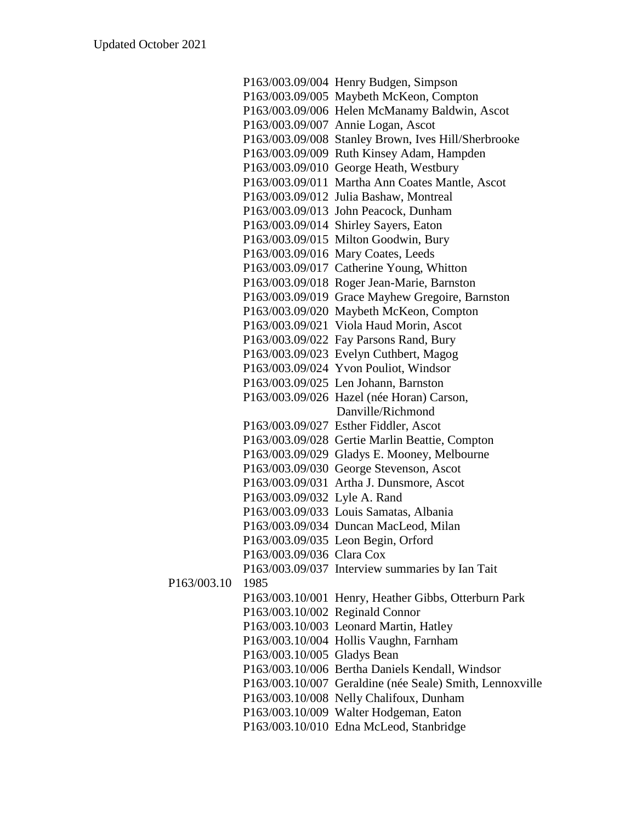|             |                              | P163/003.09/004 Henry Budgen, Simpson                    |
|-------------|------------------------------|----------------------------------------------------------|
|             |                              | P163/003.09/005 Maybeth McKeon, Compton                  |
|             |                              | P163/003.09/006 Helen McManamy Baldwin, Ascot            |
|             |                              | P163/003.09/007 Annie Logan, Ascot                       |
|             |                              | P163/003.09/008 Stanley Brown, Ives Hill/Sherbrooke      |
|             |                              | P163/003.09/009 Ruth Kinsey Adam, Hampden                |
|             |                              | P163/003.09/010 George Heath, Westbury                   |
|             |                              | P163/003.09/011 Martha Ann Coates Mantle, Ascot          |
|             |                              | P163/003.09/012 Julia Bashaw, Montreal                   |
|             |                              | P163/003.09/013 John Peacock, Dunham                     |
|             |                              | P163/003.09/014 Shirley Sayers, Eaton                    |
|             |                              | P163/003.09/015 Milton Goodwin, Bury                     |
|             |                              | P163/003.09/016 Mary Coates, Leeds                       |
|             |                              | P163/003.09/017 Catherine Young, Whitton                 |
|             |                              | P163/003.09/018 Roger Jean-Marie, Barnston               |
|             |                              | P163/003.09/019 Grace Mayhew Gregoire, Barnston          |
|             |                              | P163/003.09/020 Maybeth McKeon, Compton                  |
|             |                              | P163/003.09/021 Viola Haud Morin, Ascot                  |
|             |                              | P163/003.09/022 Fay Parsons Rand, Bury                   |
|             |                              | P163/003.09/023 Evelyn Cuthbert, Magog                   |
|             |                              | P163/003.09/024 Yvon Pouliot, Windsor                    |
|             |                              | P163/003.09/025 Len Johann, Barnston                     |
|             |                              | P163/003.09/026 Hazel (née Horan) Carson,                |
|             |                              | Danville/Richmond                                        |
|             |                              | P163/003.09/027 Esther Fiddler, Ascot                    |
|             |                              | P163/003.09/028 Gertie Marlin Beattie, Compton           |
|             |                              | P163/003.09/029 Gladys E. Mooney, Melbourne              |
|             |                              | P163/003.09/030 George Stevenson, Ascot                  |
|             |                              | P163/003.09/031 Artha J. Dunsmore, Ascot                 |
|             | P163/003.09/032 Lyle A. Rand |                                                          |
|             |                              | P163/003.09/033 Louis Samatas, Albania                   |
|             |                              | P163/003.09/034 Duncan MacLeod, Milan                    |
|             |                              | P163/003.09/035 Leon Begin, Orford                       |
|             | P163/003.09/036 Clara Cox    |                                                          |
|             |                              | P163/003.09/037 Interview summaries by Ian Tait          |
| P163/003.10 | 1985                         |                                                          |
|             |                              | P163/003.10/001 Henry, Heather Gibbs, Otterburn Park     |
|             |                              | P163/003.10/002 Reginald Connor                          |
|             |                              | P163/003.10/003 Leonard Martin, Hatley                   |
|             |                              | P163/003.10/004 Hollis Vaughn, Farnham                   |
|             | P163/003.10/005 Gladys Bean  |                                                          |
|             |                              | P163/003.10/006 Bertha Daniels Kendall, Windsor          |
|             |                              | P163/003.10/007 Geraldine (née Seale) Smith, Lennoxville |
|             |                              | P163/003.10/008 Nelly Chalifoux, Dunham                  |
|             |                              | P163/003.10/009 Walter Hodgeman, Eaton                   |
|             |                              | P163/003.10/010 Edna McLeod, Stanbridge                  |